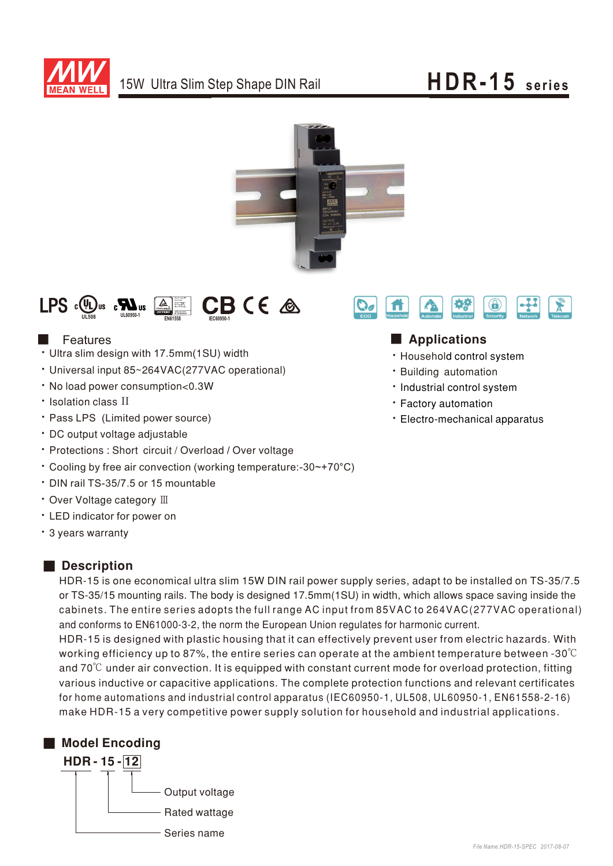





# Features

- Ultra slim design with 17.5mm(1SU) width
- Universal input 85~264VAC(277VAC operational)
- No load power consumption<0.3W
- Isolation class II
- Pass LPS (Limited power source)
- DC output voltage adjustable
- Protections: Short circuit / Overload / Over voltage
- Cooling by free air convection (working temperature:-30~+70°C)
- ‧DIN rail TS-35/7.5 or 15 mountable
- Over Voltage category III
- ‧ED indicator for power on
- 3 years warranty

# ■ Description

HDR-15 is one economical ultra slim 15W DIN rail power supply series, adapt to be installed on TS-35/7.5 or TS-35/15 mounting rails. The body is designed 17.5mm(1SU) in width, which allows space saving inside the cabinets. The entire series adopts the full range AC input from 85VAC to 264VAC(277VAC operational) and conforms to EN61000-3-2, the norm the European Union regulates for harmonic current.

HDR-15 is designed with plastic housing that it can effectively prevent user from electric hazards. With working efficiency up to 87%, the entire series can operate at the ambient temperature between -30℃ and  $70^{\circ}$ C under air convection. It is equipped with constant current mode for overload protection, fitting various inductive or capacitive applications. The complete protection functions and relevant certificates for home automations and industrial control apparatus (IEC60950-1, UL508, UL60950-1, EN61558-2-16) make HDR-15 a very competitive power supply solution for household and industrial applications.





# ■ Applications

- Household control system
- **· Building automation**
- Industrial control system
- **· Factory automation**
- Electro-mechanical apparatus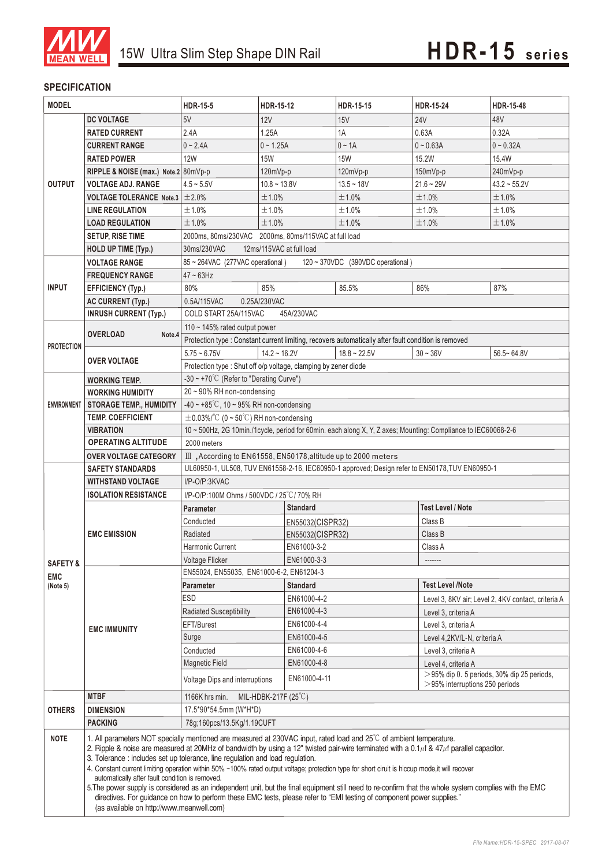

### **SPECIFICATION**

| <b>MODEL</b>                                  |                                                                                                                                                                                                                                                                                                                                                                                                                                                                                                                                                                                                                                                                                                                                                                                                                                                                                                     | <b>HDR-15-5</b>                                                                                     | HDR-15-12                                                       | HDR-15-15                                                                                            | <b>HDR-15-24</b>                                                                                              | <b>HDR-15-48</b>  |  |
|-----------------------------------------------|-----------------------------------------------------------------------------------------------------------------------------------------------------------------------------------------------------------------------------------------------------------------------------------------------------------------------------------------------------------------------------------------------------------------------------------------------------------------------------------------------------------------------------------------------------------------------------------------------------------------------------------------------------------------------------------------------------------------------------------------------------------------------------------------------------------------------------------------------------------------------------------------------------|-----------------------------------------------------------------------------------------------------|-----------------------------------------------------------------|------------------------------------------------------------------------------------------------------|---------------------------------------------------------------------------------------------------------------|-------------------|--|
|                                               | <b>DC VOLTAGE</b>                                                                                                                                                                                                                                                                                                                                                                                                                                                                                                                                                                                                                                                                                                                                                                                                                                                                                   | 5V                                                                                                  | 12V                                                             | 15V                                                                                                  | <b>24V</b>                                                                                                    | 48V               |  |
|                                               | <b>RATED CURRENT</b>                                                                                                                                                                                                                                                                                                                                                                                                                                                                                                                                                                                                                                                                                                                                                                                                                                                                                | 2.4A                                                                                                | 1.25A                                                           | 1A                                                                                                   | 0.63A                                                                                                         | 0.32A             |  |
|                                               | <b>CURRENT RANGE</b>                                                                                                                                                                                                                                                                                                                                                                                                                                                                                                                                                                                                                                                                                                                                                                                                                                                                                | $0 - 2.4A$                                                                                          | $0 - 1.25A$                                                     | $0 \sim 1A$                                                                                          | $0 - 0.63A$                                                                                                   | $0 - 0.32A$       |  |
|                                               | <b>RATED POWER</b>                                                                                                                                                                                                                                                                                                                                                                                                                                                                                                                                                                                                                                                                                                                                                                                                                                                                                  | <b>12W</b>                                                                                          | <b>15W</b>                                                      | <b>15W</b>                                                                                           | 15.2W                                                                                                         | 15.4W             |  |
|                                               | RIPPLE & NOISE (max.) Note.2 80mVp-p                                                                                                                                                                                                                                                                                                                                                                                                                                                                                                                                                                                                                                                                                                                                                                                                                                                                |                                                                                                     | 120mVp-p                                                        | 120mVp-p                                                                                             | $150mVp-p$                                                                                                    | 240mVp-p          |  |
| <b>OUTPUT</b>                                 | <b>VOLTAGE ADJ. RANGE</b>                                                                                                                                                                                                                                                                                                                                                                                                                                                                                                                                                                                                                                                                                                                                                                                                                                                                           | $4.5 - 5.5V$                                                                                        | $10.8 - 13.8V$                                                  | $13.5 - 18V$                                                                                         | $21.6 - 29V$                                                                                                  | $43.2 \sim 55.2V$ |  |
|                                               | <b>VOLTAGE TOLERANCE Note.3</b>                                                                                                                                                                                                                                                                                                                                                                                                                                                                                                                                                                                                                                                                                                                                                                                                                                                                     | ±2.0%                                                                                               | ±1.0%                                                           | ±1.0%                                                                                                | ±1.0%                                                                                                         | ±1.0%             |  |
|                                               | <b>LINE REGULATION</b>                                                                                                                                                                                                                                                                                                                                                                                                                                                                                                                                                                                                                                                                                                                                                                                                                                                                              | ±1.0%                                                                                               | ±1.0%                                                           | ±1.0%                                                                                                | ±1.0%                                                                                                         | ±1.0%             |  |
|                                               | <b>LOAD REGULATION</b>                                                                                                                                                                                                                                                                                                                                                                                                                                                                                                                                                                                                                                                                                                                                                                                                                                                                              | ±1.0%                                                                                               | ±1.0%                                                           | ±1.0%                                                                                                | ±1.0%                                                                                                         | ±1.0%             |  |
|                                               | <b>SETUP, RISE TIME</b>                                                                                                                                                                                                                                                                                                                                                                                                                                                                                                                                                                                                                                                                                                                                                                                                                                                                             | 2000ms, 80ms/230VAC 2000ms, 80ms/115VAC at full load                                                |                                                                 |                                                                                                      |                                                                                                               |                   |  |
|                                               | <b>HOLD UP TIME (Typ.)</b>                                                                                                                                                                                                                                                                                                                                                                                                                                                                                                                                                                                                                                                                                                                                                                                                                                                                          | 30ms/230VAC<br>12ms/115VAC at full load                                                             |                                                                 |                                                                                                      |                                                                                                               |                   |  |
|                                               | <b>VOLTAGE RANGE</b>                                                                                                                                                                                                                                                                                                                                                                                                                                                                                                                                                                                                                                                                                                                                                                                                                                                                                | 85 ~ 264VAC (277VAC operational)<br>120 ~ 370VDC (390VDC operational)                               |                                                                 |                                                                                                      |                                                                                                               |                   |  |
|                                               | <b>FREQUENCY RANGE</b>                                                                                                                                                                                                                                                                                                                                                                                                                                                                                                                                                                                                                                                                                                                                                                                                                                                                              | $47 \sim 63$ Hz                                                                                     |                                                                 |                                                                                                      |                                                                                                               |                   |  |
| <b>INPUT</b>                                  | <b>EFFICIENCY (Typ.)</b>                                                                                                                                                                                                                                                                                                                                                                                                                                                                                                                                                                                                                                                                                                                                                                                                                                                                            | 80%                                                                                                 | 85%                                                             | 85.5%                                                                                                | 86%                                                                                                           | 87%               |  |
|                                               | <b>AC CURRENT (Typ.)</b>                                                                                                                                                                                                                                                                                                                                                                                                                                                                                                                                                                                                                                                                                                                                                                                                                                                                            | 0.5A/115VAC                                                                                         | 0.25A/230VAC                                                    |                                                                                                      |                                                                                                               |                   |  |
|                                               | <b>INRUSH CURRENT (Typ.)</b>                                                                                                                                                                                                                                                                                                                                                                                                                                                                                                                                                                                                                                                                                                                                                                                                                                                                        | COLD START 25A/115VAC<br>45A/230VAC                                                                 |                                                                 |                                                                                                      |                                                                                                               |                   |  |
|                                               | 110 ~ 145% rated output power                                                                                                                                                                                                                                                                                                                                                                                                                                                                                                                                                                                                                                                                                                                                                                                                                                                                       |                                                                                                     |                                                                 |                                                                                                      |                                                                                                               |                   |  |
|                                               | <b>OVERLOAD</b><br>Note.4                                                                                                                                                                                                                                                                                                                                                                                                                                                                                                                                                                                                                                                                                                                                                                                                                                                                           |                                                                                                     |                                                                 | Protection type : Constant current limiting, recovers automatically after fault condition is removed |                                                                                                               |                   |  |
| <b>PROTECTION</b>                             | <b>OVER VOLTAGE</b>                                                                                                                                                                                                                                                                                                                                                                                                                                                                                                                                                                                                                                                                                                                                                                                                                                                                                 | $5.75 - 6.75V$                                                                                      | $14.2 \sim 16.2V$                                               | $18.8 - 22.5V$                                                                                       | $30 - 36V$                                                                                                    | $56.5 - 64.8V$    |  |
|                                               |                                                                                                                                                                                                                                                                                                                                                                                                                                                                                                                                                                                                                                                                                                                                                                                                                                                                                                     |                                                                                                     | Protection type : Shut off o/p voltage, clamping by zener diode |                                                                                                      |                                                                                                               |                   |  |
| <b>ENVIRONMENT</b>                            | <b>WORKING TEMP.</b>                                                                                                                                                                                                                                                                                                                                                                                                                                                                                                                                                                                                                                                                                                                                                                                                                                                                                | -30 ~ +70 $^{\circ}$ C (Refer to "Derating Curve")                                                  |                                                                 |                                                                                                      |                                                                                                               |                   |  |
|                                               | <b>WORKING HUMIDITY</b>                                                                                                                                                                                                                                                                                                                                                                                                                                                                                                                                                                                                                                                                                                                                                                                                                                                                             | 20~90% RH non-condensing                                                                            |                                                                 |                                                                                                      |                                                                                                               |                   |  |
|                                               | <b>STORAGE TEMP., HUMIDITY</b>                                                                                                                                                                                                                                                                                                                                                                                                                                                                                                                                                                                                                                                                                                                                                                                                                                                                      | -40 ~ +85°C, 10 ~ 95% RH non-condensing                                                             |                                                                 |                                                                                                      |                                                                                                               |                   |  |
|                                               | <b>TEMP. COEFFICIENT</b>                                                                                                                                                                                                                                                                                                                                                                                                                                                                                                                                                                                                                                                                                                                                                                                                                                                                            | $\pm$ 0.03%/°C (0 ~ 50°C) RH non-condensing                                                         |                                                                 |                                                                                                      |                                                                                                               |                   |  |
|                                               | <b>VIBRATION</b>                                                                                                                                                                                                                                                                                                                                                                                                                                                                                                                                                                                                                                                                                                                                                                                                                                                                                    |                                                                                                     |                                                                 |                                                                                                      | 10 ~ 500Hz, 2G 10min./1cycle, period for 60min. each along X, Y, Z axes; Mounting: Compliance to IEC60068-2-6 |                   |  |
|                                               | <b>OPERATING ALTITUDE</b>                                                                                                                                                                                                                                                                                                                                                                                                                                                                                                                                                                                                                                                                                                                                                                                                                                                                           | 2000 meters                                                                                         |                                                                 |                                                                                                      |                                                                                                               |                   |  |
|                                               | <b>OVER VOLTAGE CATEGORY</b>                                                                                                                                                                                                                                                                                                                                                                                                                                                                                                                                                                                                                                                                                                                                                                                                                                                                        | III, According to EN61558, EN50178, altitude up to 2000 meters                                      |                                                                 |                                                                                                      |                                                                                                               |                   |  |
|                                               | <b>SAFETY STANDARDS</b>                                                                                                                                                                                                                                                                                                                                                                                                                                                                                                                                                                                                                                                                                                                                                                                                                                                                             | UL60950-1, UL508, TUV EN61558-2-16, IEC60950-1 approved; Design refer to EN50178, TUV EN60950-1     |                                                                 |                                                                                                      |                                                                                                               |                   |  |
|                                               | <b>WITHSTAND VOLTAGE</b>                                                                                                                                                                                                                                                                                                                                                                                                                                                                                                                                                                                                                                                                                                                                                                                                                                                                            | I/P-O/P:3KVAC                                                                                       |                                                                 |                                                                                                      |                                                                                                               |                   |  |
|                                               | <b>ISOLATION RESISTANCE</b>                                                                                                                                                                                                                                                                                                                                                                                                                                                                                                                                                                                                                                                                                                                                                                                                                                                                         | I/P-O/P:100M Ohms / 500VDC / 25°C / 70% RH                                                          |                                                                 |                                                                                                      |                                                                                                               |                   |  |
|                                               | <b>EMC EMISSION</b>                                                                                                                                                                                                                                                                                                                                                                                                                                                                                                                                                                                                                                                                                                                                                                                                                                                                                 | <b>Parameter</b>                                                                                    | <b>Standard</b>                                                 |                                                                                                      | <b>Test Level / Note</b>                                                                                      |                   |  |
|                                               |                                                                                                                                                                                                                                                                                                                                                                                                                                                                                                                                                                                                                                                                                                                                                                                                                                                                                                     | Conducted                                                                                           | EN55032(CISPR32)                                                |                                                                                                      | Class B                                                                                                       |                   |  |
|                                               |                                                                                                                                                                                                                                                                                                                                                                                                                                                                                                                                                                                                                                                                                                                                                                                                                                                                                                     | Radiated                                                                                            | Class B<br>EN55032(CISPR32)                                     |                                                                                                      |                                                                                                               |                   |  |
| <b>SAFETY &amp;</b><br><b>EMC</b><br>(Note 5) |                                                                                                                                                                                                                                                                                                                                                                                                                                                                                                                                                                                                                                                                                                                                                                                                                                                                                                     | Harmonic Current                                                                                    | EN61000-3-2                                                     |                                                                                                      | Class A                                                                                                       |                   |  |
|                                               |                                                                                                                                                                                                                                                                                                                                                                                                                                                                                                                                                                                                                                                                                                                                                                                                                                                                                                     | EN61000-3-3<br>Voltage Flicker                                                                      |                                                                 |                                                                                                      |                                                                                                               |                   |  |
|                                               | <b>EMC IMMUNITY</b>                                                                                                                                                                                                                                                                                                                                                                                                                                                                                                                                                                                                                                                                                                                                                                                                                                                                                 | EN55024, EN55035, EN61000-6-2, EN61204-3<br><b>Test Level /Note</b><br>Parameter<br><b>Standard</b> |                                                                 |                                                                                                      |                                                                                                               |                   |  |
|                                               |                                                                                                                                                                                                                                                                                                                                                                                                                                                                                                                                                                                                                                                                                                                                                                                                                                                                                                     | ESD<br>EN61000-4-2                                                                                  |                                                                 |                                                                                                      |                                                                                                               |                   |  |
|                                               |                                                                                                                                                                                                                                                                                                                                                                                                                                                                                                                                                                                                                                                                                                                                                                                                                                                                                                     | EN61000-4-3<br>Radiated Susceptibility                                                              |                                                                 |                                                                                                      | Level 3, 8KV air; Level 2, 4KV contact, criteria A                                                            |                   |  |
|                                               |                                                                                                                                                                                                                                                                                                                                                                                                                                                                                                                                                                                                                                                                                                                                                                                                                                                                                                     | EN61000-4-4<br>EFT/Burest                                                                           |                                                                 |                                                                                                      | Level 3, criteria A<br>Level 3, criteria A                                                                    |                   |  |
|                                               |                                                                                                                                                                                                                                                                                                                                                                                                                                                                                                                                                                                                                                                                                                                                                                                                                                                                                                     | Surge<br>EN61000-4-5                                                                                |                                                                 | Level 4,2KV/L-N, criteria A                                                                          |                                                                                                               |                   |  |
|                                               |                                                                                                                                                                                                                                                                                                                                                                                                                                                                                                                                                                                                                                                                                                                                                                                                                                                                                                     | Conducted                                                                                           | EN61000-4-6                                                     |                                                                                                      | Level 3, criteria A                                                                                           |                   |  |
|                                               |                                                                                                                                                                                                                                                                                                                                                                                                                                                                                                                                                                                                                                                                                                                                                                                                                                                                                                     | <b>Magnetic Field</b>                                                                               | EN61000-4-8                                                     |                                                                                                      | Level 4, criteria A                                                                                           |                   |  |
|                                               |                                                                                                                                                                                                                                                                                                                                                                                                                                                                                                                                                                                                                                                                                                                                                                                                                                                                                                     | Voltage Dips and interruptions                                                                      | EN61000-4-11                                                    |                                                                                                      | $>95\%$ dip 0. 5 periods, 30% dip 25 periods,                                                                 |                   |  |
|                                               | <b>MTBF</b>                                                                                                                                                                                                                                                                                                                                                                                                                                                                                                                                                                                                                                                                                                                                                                                                                                                                                         | $>$ 95% interruptions 250 periods<br>1166K hrs min.<br>MIL-HDBK-217F $(25^{\circ}C)$                |                                                                 |                                                                                                      |                                                                                                               |                   |  |
| <b>OTHERS</b>                                 | <b>DIMENSION</b>                                                                                                                                                                                                                                                                                                                                                                                                                                                                                                                                                                                                                                                                                                                                                                                                                                                                                    | 17.5*90*54.5mm (W*H*D)                                                                              |                                                                 |                                                                                                      |                                                                                                               |                   |  |
|                                               | <b>PACKING</b>                                                                                                                                                                                                                                                                                                                                                                                                                                                                                                                                                                                                                                                                                                                                                                                                                                                                                      | 78g;160pcs/13.5Kg/1.19CUFT                                                                          |                                                                 |                                                                                                      |                                                                                                               |                   |  |
| <b>NOTE</b>                                   | 1. All parameters NOT specially mentioned are measured at 230VAC input, rated load and 25°C of ambient temperature.<br>2. Ripple & noise are measured at 20MHz of bandwidth by using a 12" twisted pair-wire terminated with a 0.1 $\mu$ f & 47 $\mu$ f parallel capacitor.<br>3. Tolerance : includes set up tolerance, line regulation and load regulation.<br>4. Constant current limiting operation within 50% ~100% rated output voltage; protection type for short ciruit is hiccup mode, it will recover<br>automatically after fault condition is removed.<br>5. The power supply is considered as an independent unit, but the final equipment still need to re-confirm that the whole system complies with the EMC<br>directives. For guidance on how to perform these EMC tests, please refer to "EMI testing of component power supplies."<br>(as available on http://www.meanwell.com) |                                                                                                     |                                                                 |                                                                                                      |                                                                                                               |                   |  |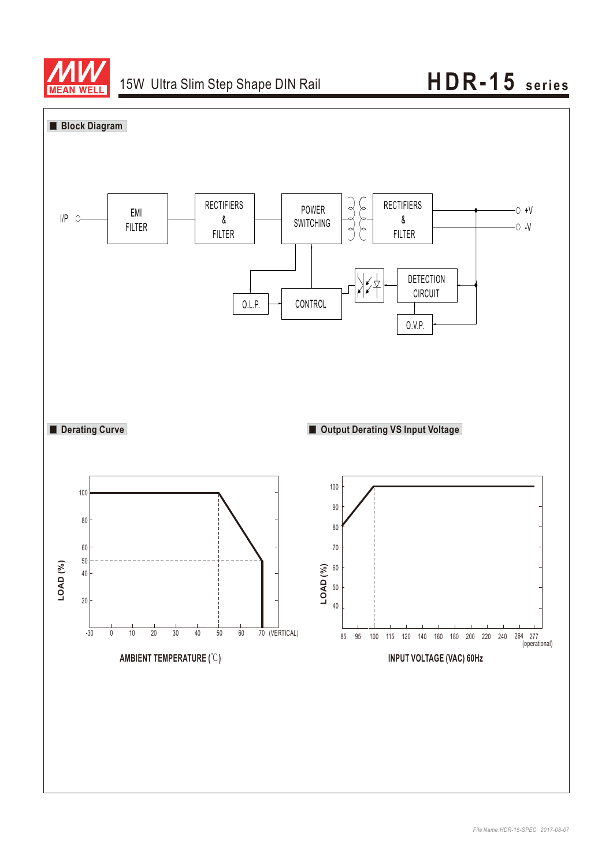